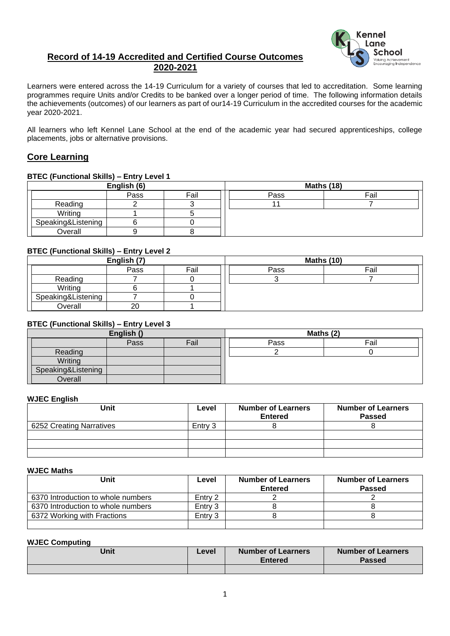## **Record of 14-19 Accredited and Certified Course Outcomes 2020-2021**



Learners were entered across the 14-19 Curriculum for a variety of courses that led to accreditation. Some learning programmes require Units and/or Credits to be banked over a longer period of time. The following information details the achievements (outcomes) of our learners as part of our14-19 Curriculum in the accredited courses for the academic year 2020-2021.

All learners who left Kennel Lane School at the end of the academic year had secured apprenticeships, college placements, jobs or alternative provisions.

## **Core Learning**

#### **BTEC (Functional Skills) – Entry Level 1**

| English (6)        |      | <b>Maths (18)</b> |      |      |
|--------------------|------|-------------------|------|------|
|                    | Pass | Fail              | Pass | Fail |
| Reading            |      |                   |      |      |
| Writing            |      |                   |      |      |
| Speaking&Listening |      |                   |      |      |
| Overall            |      |                   |      |      |

#### **BTEC (Functional Skills) – Entry Level 2**

| English (7)        |      |      |      | <b>Maths (10)</b> |
|--------------------|------|------|------|-------------------|
|                    | Pass | Fail | Pass | Fail              |
| Reading            |      |      |      |                   |
| Writing            |      |      |      |                   |
| Speaking&Listening |      |      |      |                   |
| Overall            | 20   |      |      |                   |

#### **BTEC (Functional Skills) – Entry Level 3**

| English ()         |      |      | Maths (2) |      |  |
|--------------------|------|------|-----------|------|--|
|                    | Pass | Fail | Pass      | Fail |  |
| Reading            |      |      |           |      |  |
| Writing            |      |      |           |      |  |
| Speaking&Listening |      |      |           |      |  |
| Overall            |      |      |           |      |  |

#### **WJEC English**

| Unit                     | Level   | <b>Number of Learners</b><br><b>Entered</b> | <b>Number of Learners</b><br><b>Passed</b> |
|--------------------------|---------|---------------------------------------------|--------------------------------------------|
| 6252 Creating Narratives | Entry 3 |                                             |                                            |
|                          |         |                                             |                                            |
|                          |         |                                             |                                            |
|                          |         |                                             |                                            |

#### **WJEC Maths**

| Unit                               | Level   | <b>Number of Learners</b><br><b>Entered</b> | <b>Number of Learners</b><br><b>Passed</b> |
|------------------------------------|---------|---------------------------------------------|--------------------------------------------|
| 6370 Introduction to whole numbers | Entry 2 |                                             |                                            |
| 6370 Introduction to whole numbers | Entry 3 |                                             |                                            |
| 6372 Working with Fractions        | Entry 3 |                                             |                                            |
|                                    |         |                                             |                                            |

#### **WJEC Computing**

| Unit | Level | <b>Number of Learners</b><br><b>Entered</b> | <b>Number of Learners</b><br>Passed |
|------|-------|---------------------------------------------|-------------------------------------|
|      |       |                                             |                                     |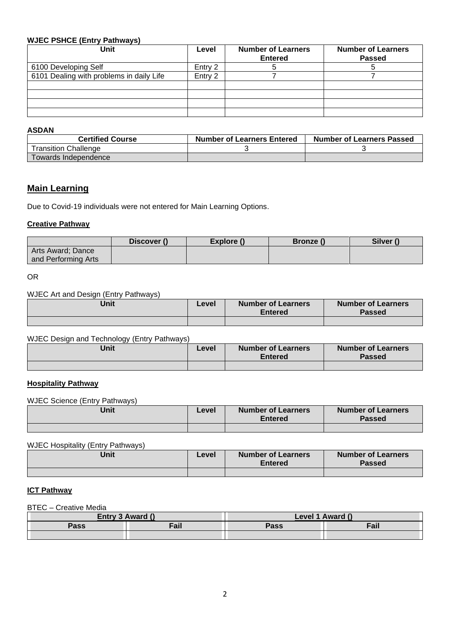#### **WJEC PSHCE (Entry Pathways)**

| <b>Unit</b>                              | Level   | <b>Number of Learners</b><br><b>Entered</b> | <b>Number of Learners</b><br><b>Passed</b> |
|------------------------------------------|---------|---------------------------------------------|--------------------------------------------|
| 6100 Developing Self                     | Entry 2 |                                             |                                            |
| 6101 Dealing with problems in daily Life | Entry 2 |                                             |                                            |
|                                          |         |                                             |                                            |
|                                          |         |                                             |                                            |
|                                          |         |                                             |                                            |
|                                          |         |                                             |                                            |

#### **ASDAN**

| <b>Certified Course</b> | <b>Number of Learners Entered</b> | <b>Number of Learners Passed</b> |
|-------------------------|-----------------------------------|----------------------------------|
| Transition Challenge    |                                   |                                  |
| Towards Independence    |                                   |                                  |

# **Main Learning**

Due to Covid-19 individuals were not entered for Main Learning Options.

#### **Creative Pathway**

|                     | Discover () | Explore () | <b>Bronze</b> ( | Silver () |
|---------------------|-------------|------------|-----------------|-----------|
| Arts Award; Dance   |             |            |                 |           |
| and Performing Arts |             |            |                 |           |

OR

## WJEC Art and Design (Entry Pathways)

| Unit | Level | <b>Number of Learners</b><br><b>Entered</b> | <b>Number of Learners</b><br><b>Passed</b> |
|------|-------|---------------------------------------------|--------------------------------------------|
|      |       |                                             |                                            |

#### WJEC Design and Technology (Entry Pathways)

| Unit | Level | <b>Number of Learners</b><br><b>Entered</b> | <b>Number of Learners</b><br><b>Passed</b> |
|------|-------|---------------------------------------------|--------------------------------------------|
|      |       |                                             |                                            |

#### **Hospitality Pathway**

WJEC Science (Entry Pathways)

| Unit | Level | <b>Number of Learners</b><br><b>Entered</b> | <b>Number of Learners</b><br><b>Passed</b> |
|------|-------|---------------------------------------------|--------------------------------------------|
|      |       |                                             |                                            |

#### WJEC Hospitality (Entry Pathways)

| Unit | Level | Number of Learners<br><b>Entered</b> | <b>Number of Learners</b><br><b>Passed</b> |
|------|-------|--------------------------------------|--------------------------------------------|
|      |       |                                      |                                            |

#### **ICT Pathway**

BTEC – Creative Media

| Entry 3 Award () |      |      | Level 1 Award () |
|------------------|------|------|------------------|
| Pass             | Fail | Pass | Fail             |
|                  |      |      |                  |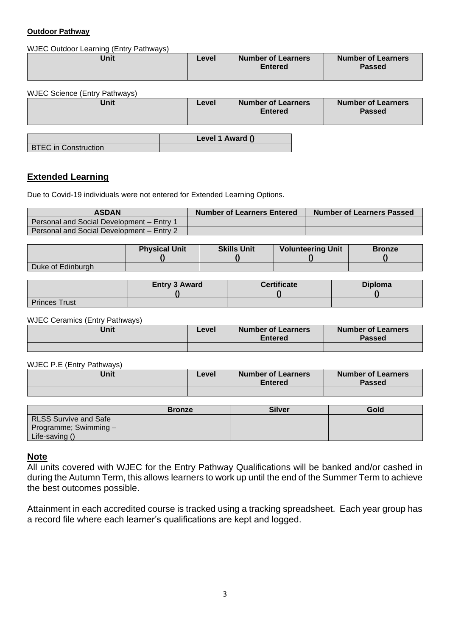#### **Outdoor Pathway**

### WJEC Outdoor Learning (Entry Pathways)

| Unit | Level | <b>Number of Learners</b><br><b>Entered</b> | <b>Number of Learners</b><br><b>Passed</b> |
|------|-------|---------------------------------------------|--------------------------------------------|
|      |       |                                             |                                            |

WJEC Science (Entry Pathways)

| Unit | Level | <b>Number of Learners</b><br><b>Entered</b> | <b>Number of Learners</b><br><b>Passed</b> |
|------|-------|---------------------------------------------|--------------------------------------------|
|      |       |                                             |                                            |
|      |       | $\blacksquare$                              |                                            |

**BTEC** in Construction

**Level 1 Award ()**

## **Extended Learning**

Due to Covid-19 individuals were not entered for Extended Learning Options.

| <b>ASDAN</b>                              | <b>Number of Learners Entered</b> | <b>Number of Learners Passed</b> |
|-------------------------------------------|-----------------------------------|----------------------------------|
| Personal and Social Development - Entry 1 |                                   |                                  |
| Personal and Social Development - Entry 2 |                                   |                                  |

|                   | <b>Physical Unit</b> | <b>Skills Unit</b> | <b>Volunteering Unit</b> | <b>Bronze</b> |
|-------------------|----------------------|--------------------|--------------------------|---------------|
| Duke of Edinburgh |                      |                    |                          |               |

|                      | <b>Entry 3 Award</b> | <b>Certificate</b> | <b>Diploma</b> |
|----------------------|----------------------|--------------------|----------------|
| <b>Princes Trust</b> |                      |                    |                |

WJEC Ceramics (Entry Pathways)

| Unit | Level | <b>Number of Learners</b><br><b>Entered</b> | <b>Number of Learners</b><br><b>Passed</b> |
|------|-------|---------------------------------------------|--------------------------------------------|
|      |       |                                             |                                            |

WJEC P.E (Entry Pathways)

| Unit | Level | <b>Number of Learners</b><br><b>Entered</b> | <b>Number of Learners</b><br><b>Passed</b> |
|------|-------|---------------------------------------------|--------------------------------------------|
|      |       |                                             |                                            |

|                              | <b>Bronze</b> | <b>Silver</b> | Gold |
|------------------------------|---------------|---------------|------|
| <b>RLSS Survive and Safe</b> |               |               |      |
| Programme; Swimming -        |               |               |      |
| Life-saving ()               |               |               |      |

#### **Note**

All units covered with WJEC for the Entry Pathway Qualifications will be banked and/or cashed in during the Autumn Term, this allows learners to work up until the end of the Summer Term to achieve the best outcomes possible.

Attainment in each accredited course is tracked using a tracking spreadsheet. Each year group has a record file where each learner's qualifications are kept and logged.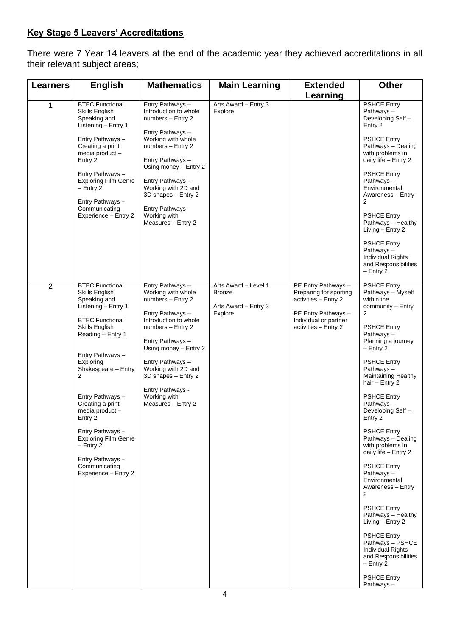# **Key Stage 5 Leavers' Accreditations**

There were 7 Year 14 leavers at the end of the academic year they achieved accreditations in all their relevant subject areas;

| <b>Learners</b> | <b>English</b>                                                                                                                                                                                                                                                                                                                                                                                                            | <b>Mathematics</b>                                                                                                                                                                                                                                                                                     | <b>Main Learning</b>                                                     | <b>Extended</b>                                                                                                                               | <b>Other</b>                                                                                                                                                                                                                                                                                                                                                                                                                                                                                                                                                                                                                                                                    |
|-----------------|---------------------------------------------------------------------------------------------------------------------------------------------------------------------------------------------------------------------------------------------------------------------------------------------------------------------------------------------------------------------------------------------------------------------------|--------------------------------------------------------------------------------------------------------------------------------------------------------------------------------------------------------------------------------------------------------------------------------------------------------|--------------------------------------------------------------------------|-----------------------------------------------------------------------------------------------------------------------------------------------|---------------------------------------------------------------------------------------------------------------------------------------------------------------------------------------------------------------------------------------------------------------------------------------------------------------------------------------------------------------------------------------------------------------------------------------------------------------------------------------------------------------------------------------------------------------------------------------------------------------------------------------------------------------------------------|
|                 |                                                                                                                                                                                                                                                                                                                                                                                                                           |                                                                                                                                                                                                                                                                                                        |                                                                          | Learning                                                                                                                                      |                                                                                                                                                                                                                                                                                                                                                                                                                                                                                                                                                                                                                                                                                 |
| 1               | <b>BTEC Functional</b><br>Skills English<br>Speaking and<br>Listening - Entry 1<br>Entry Pathways -<br>Creating a print<br>media product -<br>Entry 2<br>Entry Pathways -<br><b>Exploring Film Genre</b><br>$-$ Entry 2<br>Entry Pathways -<br>Communicating<br>Experience - Entry 2                                                                                                                                      | Entry Pathways -<br>Introduction to whole<br>numbers - Entry 2<br>Entry Pathways -<br>Working with whole<br>numbers - Entry 2<br>Entry Pathways -<br>Using money - Entry 2<br>Entry Pathways -<br>Working with 2D and<br>3D shapes - Entry 2<br>Entry Pathways -<br>Working with<br>Measures - Entry 2 | Arts Award - Entry 3<br>Explore                                          |                                                                                                                                               | <b>PSHCE Entry</b><br>Pathways-<br>Developing Self -<br>Entry 2<br><b>PSHCE Entry</b><br>Pathways - Dealing<br>with problems in<br>daily life - Entry 2<br><b>PSHCE Entry</b><br>Pathways-<br>Environmental<br>Awareness - Entry<br>2<br><b>PSHCE Entry</b><br>Pathways - Healthy<br>Living - Entry 2<br><b>PSHCE Entry</b><br>Pathways-<br><b>Individual Rights</b><br>and Responsibilities<br>$-$ Entry 2                                                                                                                                                                                                                                                                     |
|                 |                                                                                                                                                                                                                                                                                                                                                                                                                           |                                                                                                                                                                                                                                                                                                        |                                                                          |                                                                                                                                               |                                                                                                                                                                                                                                                                                                                                                                                                                                                                                                                                                                                                                                                                                 |
| 2               | <b>BTEC Functional</b><br>Skills English<br>Speaking and<br>Listening - Entry 1<br><b>BTEC Functional</b><br><b>Skills English</b><br>Reading - Entry 1<br>Entry Pathways -<br>Exploring<br>Shakespeare - Entry<br>2<br>Entry Pathways -<br>Creating a print<br>media product -<br>Entry 2<br>Entry Pathways -<br><b>Exploring Film Genre</b><br>$-$ Entry 2<br>Entry Pathways -<br>Communicating<br>Experience - Entry 2 | Entry Pathways -<br>Working with whole<br>numbers - Entry 2<br>Entry Pathways -<br>Introduction to whole<br>numbers - Entry 2<br>Entry Pathways -<br>Using money - Entry 2<br>Entry Pathways -<br>Working with 2D and<br>3D shapes - Entry 2<br>Entry Pathways -<br>Working with<br>Measures - Entry 2 | Arts Award - Level 1<br><b>Bronze</b><br>Arts Award - Entry 3<br>Explore | PE Entry Pathways -<br>Preparing for sporting<br>activities - Entry 2<br>PE Entry Pathways -<br>Individual or partner<br>activities - Entry 2 | <b>PSHCE Entry</b><br>Pathways - Myself<br>within the<br>community - Entry<br>2<br><b>PSHCE Entry</b><br>Pathways-<br>Planning a journey<br>$-$ Entry 2<br><b>PSHCE Entry</b><br>Pathways-<br>Maintaining Healthy<br>hair - Entry 2<br><b>PSHCE Entry</b><br>Pathways-<br>Developing Self -<br>Entry 2<br><b>PSHCE Entry</b><br>Pathways - Dealing<br>with problems in<br>daily life - Entry 2<br><b>PSHCE Entry</b><br>Pathways-<br>Environmental<br>Awareness - Entry<br>2<br><b>PSHCE Entry</b><br>Pathways - Healthy<br>Living - Entry 2<br><b>PSHCE Entry</b><br>Pathways - PSHCE<br><b>Individual Rights</b><br>and Responsibilities<br>$-$ Entry 2<br><b>PSHCE Entry</b> |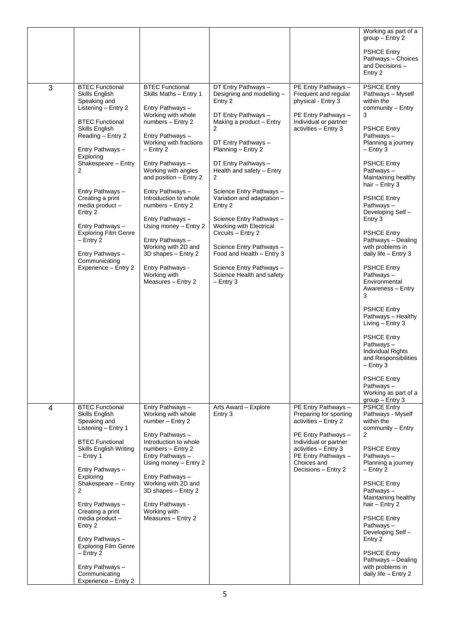|                |                                                                                                                                                                                                                                                                                                                                                                                                                           |                                                                                                                                                                                                                                                                                                                                                                                                                                                                                              |                                                                                                                                                                                                                                                                                                                                                                                                                                                                                                            |                                                                                                                                                                                                            | Working as part of a<br>$group - Entry 2$                                                                                                                                                                                                                                                                                                                                                                                                                                                                                                                                                                                                                                   |
|----------------|---------------------------------------------------------------------------------------------------------------------------------------------------------------------------------------------------------------------------------------------------------------------------------------------------------------------------------------------------------------------------------------------------------------------------|----------------------------------------------------------------------------------------------------------------------------------------------------------------------------------------------------------------------------------------------------------------------------------------------------------------------------------------------------------------------------------------------------------------------------------------------------------------------------------------------|------------------------------------------------------------------------------------------------------------------------------------------------------------------------------------------------------------------------------------------------------------------------------------------------------------------------------------------------------------------------------------------------------------------------------------------------------------------------------------------------------------|------------------------------------------------------------------------------------------------------------------------------------------------------------------------------------------------------------|-----------------------------------------------------------------------------------------------------------------------------------------------------------------------------------------------------------------------------------------------------------------------------------------------------------------------------------------------------------------------------------------------------------------------------------------------------------------------------------------------------------------------------------------------------------------------------------------------------------------------------------------------------------------------------|
|                |                                                                                                                                                                                                                                                                                                                                                                                                                           |                                                                                                                                                                                                                                                                                                                                                                                                                                                                                              |                                                                                                                                                                                                                                                                                                                                                                                                                                                                                                            |                                                                                                                                                                                                            | <b>PSHCE Entry</b><br>Pathways - Choices<br>and Decisions -<br>Entry 2                                                                                                                                                                                                                                                                                                                                                                                                                                                                                                                                                                                                      |
| 3              | <b>BTEC Functional</b><br>Skills English<br>Speaking and<br>Listening - Entry 2<br><b>BTEC Functional</b><br>Skills English<br>Reading - Entry 2<br>Entry Pathways -<br>Exploring<br>Shakespeare - Entry<br>2<br>Entry Pathways -<br>Creating a print<br>media product -<br>Entry 2<br>Entry Pathways -<br><b>Exploring Film Genre</b><br>$-$ Entry 2<br>Entry Pathways -<br>Communicating<br>Experience - Entry 2        | <b>BTEC Functional</b><br>Skills Maths - Entry 1<br>Entry Pathways -<br>Working with whole<br>numbers - Entry 2<br>Entry Pathways -<br>Working with fractions<br>$-$ Entry 2<br>Entry Pathways -<br>Working with angles<br>and position - Entry 2<br>Entry Pathways -<br>Introduction to whole<br>numbers - Entry 2<br>Entry Pathways -<br>Using money - Entry 2<br>Entry Pathways -<br>Working with 2D and<br>3D shapes - Entry 2<br>Entry Pathways -<br>Working with<br>Measures - Entry 2 | DT Entry Pathways -<br>Designing and modelling -<br>Entry 2<br>DT Entry Pathways -<br>Making a product - Entry<br>2<br>DT Entry Pathways -<br>Planning - Entry 2<br>DT Entry Pathways -<br>Health and safety - Entry<br>2<br>Science Entry Pathways-<br>Variation and adaptation -<br>Entry 2<br>Science Entry Pathways -<br>Working with Electrical<br>Circuits - Entry 2<br>Science Entry Pathways -<br>Food and Health - Entry 3<br>Science Entry Pathways-<br>Science Health and safety<br>$-$ Entry 3 | PE Entry Pathways -<br>Frequent and regular<br>physical - Entry 3<br>PE Entry Pathways -<br>Individual or partner<br>activities - Entry 3                                                                  | <b>PSHCE Entry</b><br>Pathways - Myself<br>within the<br>community - Entry<br>3<br><b>PSHCE Entry</b><br>Pathways-<br>Planning a journey<br>$-$ Entry 3<br><b>PSHCE Entry</b><br>Pathways-<br>Maintaining healthy<br>hair $-$ Entry 3<br><b>PSHCE Entry</b><br>Pathways-<br>Developing Self-<br>Entry 3<br><b>PSHCE Entry</b><br>Pathways - Dealing<br>with problems in<br>daily life - Entry 3<br><b>PSHCE Entry</b><br>Pathways-<br>Environmental<br>Awareness - Entry<br>3<br><b>PSHCE Entry</b><br>Pathways - Healthy<br>Living $-$ Entry 3<br><b>PSHCE Entry</b><br>Pathways-<br><b>Individual Rights</b><br>and Responsibilities<br>$-$ Entry 3<br><b>PSHCE Entry</b> |
|                |                                                                                                                                                                                                                                                                                                                                                                                                                           |                                                                                                                                                                                                                                                                                                                                                                                                                                                                                              |                                                                                                                                                                                                                                                                                                                                                                                                                                                                                                            |                                                                                                                                                                                                            | Pathways-<br>Working as part of a<br>$group - Entry 3$                                                                                                                                                                                                                                                                                                                                                                                                                                                                                                                                                                                                                      |
| $\overline{4}$ | <b>BTEC Functional</b><br>Skills English<br>Speaking and<br>Listening - Entry 1<br><b>BTEC Functional</b><br><b>Skills English Writing</b><br>– Entry 1<br>Entry Pathways -<br>Exploring<br>Shakespeare - Entry<br>2<br>Entry Pathways -<br>Creating a print<br>media product -<br>Entry 2<br>Entry Pathways -<br><b>Exploring Film Genre</b><br>$-$ Entry 2<br>Entry Pathways -<br>Communicating<br>Experience - Entry 2 | Entry Pathways -<br>Working with whole<br>number - Entry 2<br>Entry Pathways -<br>Introduction to whole<br>numbers - Entry 2<br>Entry Pathways -<br>Using money - Entry 2<br>Entry Pathways -<br>Working with 2D and<br>3D shapes - Entry 2<br>Entry Pathways -<br>Working with<br>Measures - Entry 2                                                                                                                                                                                        | Arts Award - Explore<br>Entry 3                                                                                                                                                                                                                                                                                                                                                                                                                                                                            | PE Entry Pathways -<br>Preparing for sporting<br>activities - Entry 2<br>PE Entry Pathways -<br>Individual or partner<br>activities - Entry 3<br>PE Entry Pathways -<br>Choices and<br>Decisions - Entry 2 | <b>PSHCE Entry</b><br>Pathways - Myself<br>within the<br>community - Entry<br>2<br><b>PSHCE Entry</b><br>Pathways-<br>Planning a journey<br>$-$ Entry 2<br><b>PSHCE Entry</b><br>Pathways-<br>Maintaining healthy<br>hair - Entry 2<br><b>PSHCE Entry</b><br>Pathways-<br>Developing Self-<br>Entry 2<br><b>PSHCE Entry</b><br>Pathways - Dealing<br>with problems in<br>daily life - Entry 2                                                                                                                                                                                                                                                                               |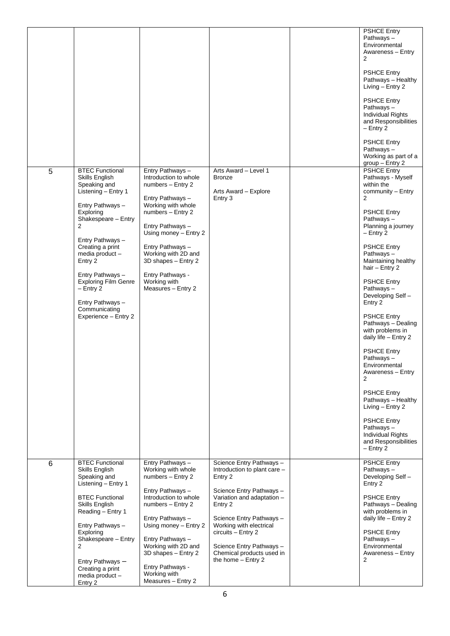|   |                                                                                                                                                                                                                                                                                                                                                                       |                                                                                                                                                                                                                                                                                                        |                                                                                                                                                                                                                                                                                                      | <b>PSHCE Entry</b><br>Pathways-<br>Environmental<br>Awareness - Entry<br>2<br><b>PSHCE Entry</b><br>Pathways - Healthy<br>Living - Entry 2<br><b>PSHCE Entry</b><br>Pathways-<br><b>Individual Rights</b><br>and Responsibilities<br>$-$ Entry 2<br><b>PSHCE Entry</b><br>Pathways-<br>Working as part of a<br>$group - Entry 2$                                                                                                                                                                                                                                                                                                                          |
|---|-----------------------------------------------------------------------------------------------------------------------------------------------------------------------------------------------------------------------------------------------------------------------------------------------------------------------------------------------------------------------|--------------------------------------------------------------------------------------------------------------------------------------------------------------------------------------------------------------------------------------------------------------------------------------------------------|------------------------------------------------------------------------------------------------------------------------------------------------------------------------------------------------------------------------------------------------------------------------------------------------------|-----------------------------------------------------------------------------------------------------------------------------------------------------------------------------------------------------------------------------------------------------------------------------------------------------------------------------------------------------------------------------------------------------------------------------------------------------------------------------------------------------------------------------------------------------------------------------------------------------------------------------------------------------------|
| 5 | <b>BTEC Functional</b><br><b>Skills English</b><br>Speaking and<br>Listening - Entry 1<br>Entry Pathways -<br>Exploring<br>Shakespeare - Entry<br>$\overline{2}$<br>Entry Pathways -<br>Creating a print<br>media product -<br>Entry 2<br>Entry Pathways -<br><b>Exploring Film Genre</b><br>$-$ Entry 2<br>Entry Pathways -<br>Communicating<br>Experience - Entry 2 | Entry Pathways -<br>Introduction to whole<br>numbers - Entry 2<br>Entry Pathways -<br>Working with whole<br>numbers - Entry 2<br>Entry Pathways -<br>Using money - Entry 2<br>Entry Pathways -<br>Working with 2D and<br>3D shapes - Entry 2<br>Entry Pathways -<br>Working with<br>Measures - Entry 2 | Arts Award - Level 1<br><b>Bronze</b><br>Arts Award - Explore<br>$E$ ntry 3                                                                                                                                                                                                                          | <b>PSHCE Entry</b><br>Pathways - Myself<br>within the<br>community - Entry<br>$\overline{2}$<br><b>PSHCE Entry</b><br>Pathways-<br>Planning a journey<br>$-$ Entry 2<br><b>PSHCE Entry</b><br>Pathways-<br>Maintaining healthy<br>hair $-$ Entry 2<br><b>PSHCE Entry</b><br>Pathways-<br>Developing Self-<br>Entry 2<br><b>PSHCE Entry</b><br>Pathways - Dealing<br>with problems in<br>daily life - Entry 2<br><b>PSHCE Entry</b><br>Pathways-<br>Environmental<br>Awareness - Entry<br>2<br><b>PSHCE Entry</b><br>Pathways - Healthy<br>Living - Entry 2<br><b>PSHCE Entry</b><br>Pathways-<br>Individual Rights<br>and Responsibilities<br>$-$ Entry 2 |
| 6 | <b>BTEC Functional</b><br>Skills English<br>Speaking and<br>Listening - Entry 1<br><b>BTEC Functional</b><br><b>Skills English</b><br>Reading - Entry 1<br>Entry Pathways -<br>Exploring<br>Shakespeare - Entry<br>2<br>Entry Pathways -<br>Creating a print<br>media product -<br>Entry 2                                                                            | Entry Pathways -<br>Working with whole<br>numbers - Entry 2<br>Entry Pathways -<br>Introduction to whole<br>numbers - Entry 2<br>Entry Pathways -<br>Using money - Entry 2<br>Entry Pathways -<br>Working with 2D and<br>3D shapes - Entry 2<br>Entry Pathways -<br>Working with<br>Measures - Entry 2 | Science Entry Pathways -<br>Introduction to plant care -<br>Entry 2<br>Science Entry Pathways -<br>Variation and adaptation -<br>Entry 2<br>Science Entry Pathways -<br>Working with electrical<br>circuits - Entry 2<br>Science Entry Pathways -<br>Chemical products used in<br>the home - Entry 2 | <b>PSHCE Entry</b><br>Pathways-<br>Developing Self -<br>Entry 2<br><b>PSHCE Entry</b><br>Pathways - Dealing<br>with problems in<br>daily life - Entry 2<br><b>PSHCE Entry</b><br>Pathways-<br>Environmental<br>Awareness - Entry<br>2                                                                                                                                                                                                                                                                                                                                                                                                                     |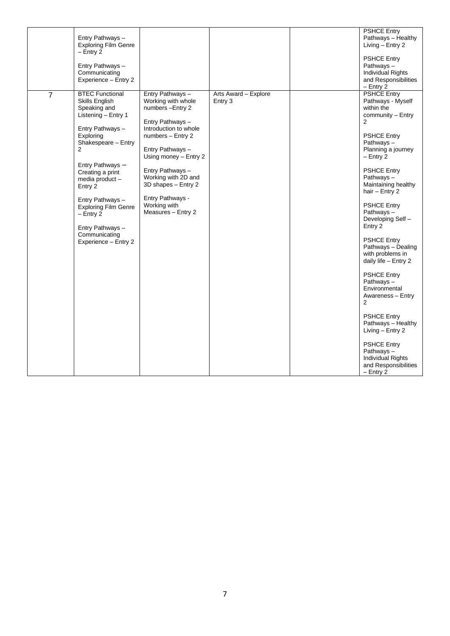|                | Entry Pathways -<br><b>Exploring Film Genre</b><br>$-$ Entry 2<br>Entry Pathways -<br>Communicating<br>Experience - Entry 2                                                                                                                                                                                                                                 |                                                                                                                                                                                                                                                                                                       |                                 | <b>PSHCE Entry</b><br>Pathways - Healthy<br>Living - Entry 2<br><b>PSHCE Entry</b><br>Pathways-<br><b>Individual Rights</b><br>and Responsibilities<br>$-$ Entry 2                                                                                                                                                                                                                                                                                                                                                                                                                                                                                  |
|----------------|-------------------------------------------------------------------------------------------------------------------------------------------------------------------------------------------------------------------------------------------------------------------------------------------------------------------------------------------------------------|-------------------------------------------------------------------------------------------------------------------------------------------------------------------------------------------------------------------------------------------------------------------------------------------------------|---------------------------------|-----------------------------------------------------------------------------------------------------------------------------------------------------------------------------------------------------------------------------------------------------------------------------------------------------------------------------------------------------------------------------------------------------------------------------------------------------------------------------------------------------------------------------------------------------------------------------------------------------------------------------------------------------|
| $\overline{7}$ | <b>BTEC Functional</b><br>Skills English<br>Speaking and<br>Listening - Entry 1<br>Entry Pathways -<br>Exploring<br>Shakespeare - Entry<br>$\overline{2}$<br>Entry Pathways -<br>Creating a print<br>media product-<br>Entry 2<br>Entry Pathways -<br><b>Exploring Film Genre</b><br>- Entry 2<br>Entry Pathways -<br>Communicating<br>Experience - Entry 2 | Entry Pathways -<br>Working with whole<br>numbers - Entry 2<br>Entry Pathways -<br>Introduction to whole<br>numbers - Entry 2<br>Entry Pathways -<br>Using money - Entry 2<br>Entry Pathways-<br>Working with 2D and<br>3D shapes - Entry 2<br>Entry Pathways -<br>Working with<br>Measures - Entry 2 | Arts Award - Explore<br>Entry 3 | <b>PSHCE Entry</b><br>Pathways - Myself<br>within the<br>community - Entry<br>2<br><b>PSHCE Entry</b><br>Pathways-<br>Planning a journey<br>$-$ Entry 2<br><b>PSHCE Entry</b><br>Pathways-<br>Maintaining healthy<br>hair $-$ Entry 2<br><b>PSHCE Entry</b><br>Pathways-<br>Developing Self-<br>Entry 2<br><b>PSHCE Entry</b><br>Pathways - Dealing<br>with problems in<br>daily life - Entry 2<br><b>PSHCE Entry</b><br>Pathways-<br>Environmental<br>Awareness - Entry<br>2<br><b>PSHCE Entry</b><br>Pathways - Healthy<br>Living - Entry 2<br><b>PSHCE Entry</b><br>Pathways-<br><b>Individual Rights</b><br>and Responsibilities<br>$-$ Entry 2 |